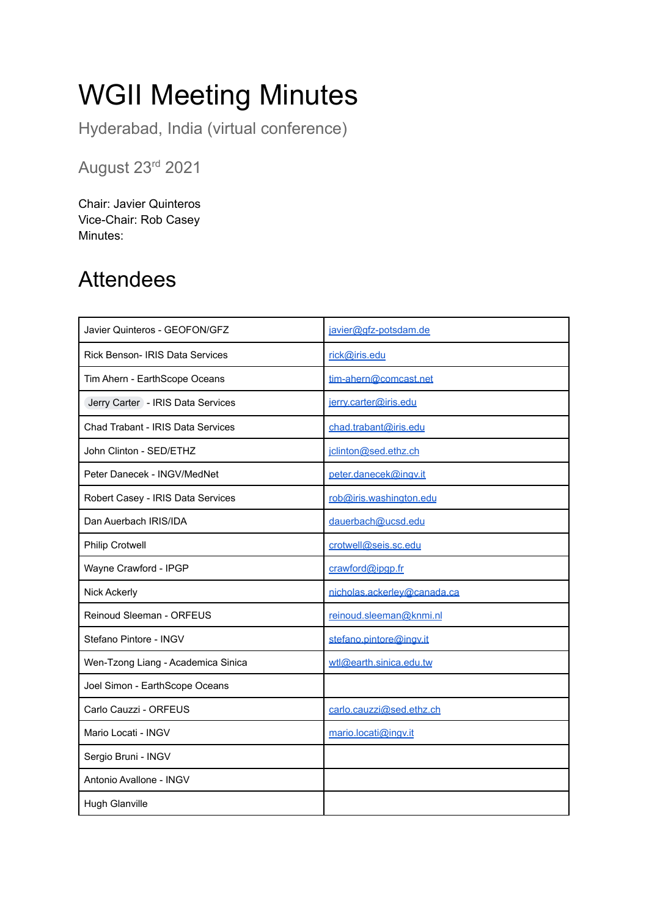# WGII Meeting Minutes

Hyderabad, India (virtual conference)

August 23rd 2021

Chair: Javier Quinteros Vice-Chair: Rob Casey Minutes:

#### Attendees

| Javier Quinteros - GEOFON/GFZ          | javier@gfz-potsdam.de       |
|----------------------------------------|-----------------------------|
| <b>Rick Benson- IRIS Data Services</b> | rick@iris.edu               |
| Tim Ahern - EarthScope Oceans          | tim-ahern@comcast.net       |
| Jerry Carter - IRIS Data Services      | jerry.carter@iris.edu       |
| Chad Trabant - IRIS Data Services      | chad.trabant@iris.edu       |
| John Clinton - SED/ETHZ                | jclinton@sed.ethz.ch        |
| Peter Danecek - INGV/MedNet            | peter.danecek@ingv.it       |
| Robert Casey - IRIS Data Services      | rob@iris.washington.edu     |
| Dan Auerbach IRIS/IDA                  | dauerbach@ucsd.edu          |
| <b>Philip Crotwell</b>                 | crotwell@seis.sc.edu        |
| Wayne Crawford - IPGP                  | crawford@ipgp.fr            |
| Nick Ackerly                           | nicholas.ackerley@canada.ca |
| Reinoud Sleeman - ORFEUS               | reinoud.sleeman@knmi.nl     |
| Stefano Pintore - INGV                 | stefano.pintore@ingv.it     |
| Wen-Tzong Liang - Academica Sinica     | wtl@earth.sinica.edu.tw     |
| Joel Simon - EarthScope Oceans         |                             |
| Carlo Cauzzi - ORFEUS                  | carlo.cauzzi@sed.ethz.ch    |
| Mario Locati - INGV                    | mario.locati@ingv.it        |
| Sergio Bruni - INGV                    |                             |
| Antonio Avallone - INGV                |                             |
| <b>Hugh Glanville</b>                  |                             |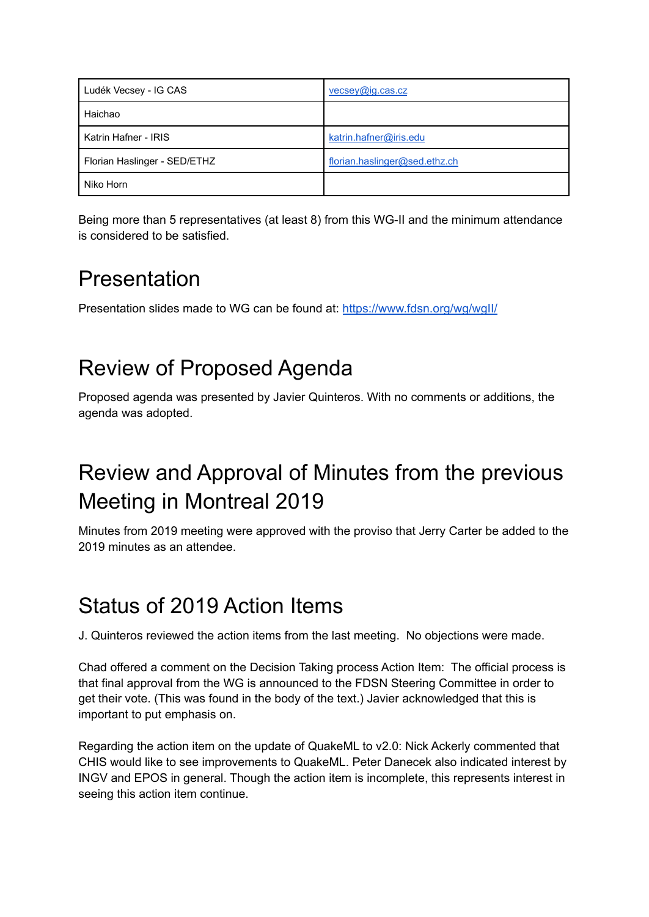| Ludék Vecsey - IG CAS        | vecsey@ig.cas.cz              |
|------------------------------|-------------------------------|
| Haichao                      |                               |
| Katrin Hafner - IRIS         | katrin.hafner@iris.edu        |
| Florian Haslinger - SED/ETHZ | florian.haslinger@sed.ethz.ch |
| Niko Horn                    |                               |

Being more than 5 representatives (at least 8) from this WG-II and the minimum attendance is considered to be satisfied.

#### Presentation

Presentation slides made to WG can be found at: <https://www.fdsn.org/wg/wgII/>

# Review of Proposed Agenda

Proposed agenda was presented by Javier Quinteros. With no comments or additions, the agenda was adopted.

## Review and Approval of Minutes from the previous Meeting in Montreal 2019

Minutes from 2019 meeting were approved with the proviso that Jerry Carter be added to the 2019 minutes as an attendee.

# Status of 2019 Action Items

J. Quinteros reviewed the action items from the last meeting. No objections were made.

Chad offered a comment on the Decision Taking process Action Item: The official process is that final approval from the WG is announced to the FDSN Steering Committee in order to get their vote. (This was found in the body of the text.) Javier acknowledged that this is important to put emphasis on.

Regarding the action item on the update of QuakeML to v2.0: Nick Ackerly commented that CHIS would like to see improvements to QuakeML. Peter Danecek also indicated interest by INGV and EPOS in general. Though the action item is incomplete, this represents interest in seeing this action item continue.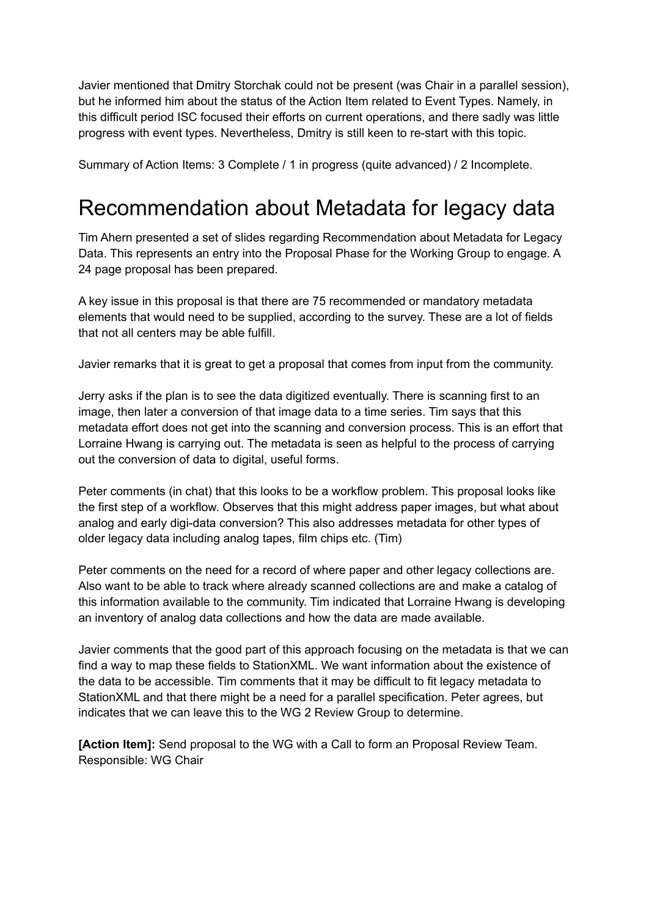Javier mentioned that Dmitry Storchak could not be present (was Chair in a parallel session), but he informed him about the status of the Action Item related to Event Types. Namely, in this difficult period ISC focused their efforts on current operations, and there sadly was little progress with event types. Nevertheless, Dmitry is still keen to re-start with this topic.

Summary of Action Items: 3 Complete / 1 in progress (quite advanced) / 2 Incomplete.

#### Recommendation about Metadata for legacy data

Tim Ahern presented a set of slides regarding Recommendation about Metadata for Legacy Data. This represents an entry into the Proposal Phase for the Working Group to engage. A 24 page proposal has been prepared.

A key issue in this proposal is that there are 75 recommended or mandatory metadata elements that would need to be supplied, according to the survey. These are a lot of fields that not all centers may be able fulfill.

Javier remarks that it is great to get a proposal that comes from input from the community.

Jerry asks if the plan is to see the data digitized eventually. There is scanning first to an image, then later a conversion of that image data to a time series. Tim says that this metadata effort does not get into the scanning and conversion process. This is an effort that Lorraine Hwang is carrying out. The metadata is seen as helpful to the process of carrying out the conversion of data to digital, useful forms.

Peter comments (in chat) that this looks to be a workflow problem. This proposal looks like the first step of a workflow. Observes that this might address paper images, but what about analog and early digi-data conversion? This also addresses metadata for other types of older legacy data including analog tapes, film chips etc. (Tim)

Peter comments on the need for a record of where paper and other legacy collections are. Also want to be able to track where already scanned collections are and make a catalog of this information available to the community. Tim indicated that Lorraine Hwang is developing an inventory of analog data collections and how the data are made available.

Javier comments that the good part of this approach focusing on the metadata is that we can find a way to map these fields to StationXML. We want information about the existence of the data to be accessible. Tim comments that it may be difficult to fit legacy metadata to StationXML and that there might be a need for a parallel specification. Peter agrees, but indicates that we can leave this to the WG 2 Review Group to determine.

**[Action Item]:** Send proposal to the WG with a Call to form an Proposal Review Team. Responsible: WG Chair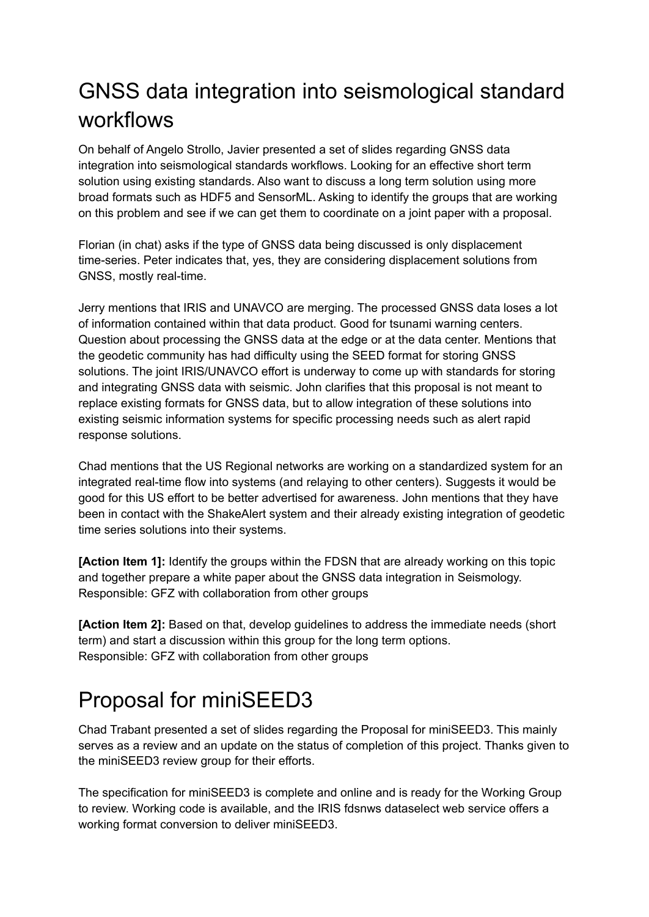# GNSS data integration into seismological standard workflows

On behalf of Angelo Strollo, Javier presented a set of slides regarding GNSS data integration into seismological standards workflows. Looking for an effective short term solution using existing standards. Also want to discuss a long term solution using more broad formats such as HDF5 and SensorML. Asking to identify the groups that are working on this problem and see if we can get them to coordinate on a joint paper with a proposal.

Florian (in chat) asks if the type of GNSS data being discussed is only displacement time-series. Peter indicates that, yes, they are considering displacement solutions from GNSS, mostly real-time.

Jerry mentions that IRIS and UNAVCO are merging. The processed GNSS data loses a lot of information contained within that data product. Good for tsunami warning centers. Question about processing the GNSS data at the edge or at the data center. Mentions that the geodetic community has had difficulty using the SEED format for storing GNSS solutions. The joint IRIS/UNAVCO effort is underway to come up with standards for storing and integrating GNSS data with seismic. John clarifies that this proposal is not meant to replace existing formats for GNSS data, but to allow integration of these solutions into existing seismic information systems for specific processing needs such as alert rapid response solutions.

Chad mentions that the US Regional networks are working on a standardized system for an integrated real-time flow into systems (and relaying to other centers). Suggests it would be good for this US effort to be better advertised for awareness. John mentions that they have been in contact with the ShakeAlert system and their already existing integration of geodetic time series solutions into their systems.

**[Action Item 1]:** Identify the groups within the FDSN that are already working on this topic and together prepare a white paper about the GNSS data integration in Seismology. Responsible: GFZ with collaboration from other groups

**[Action Item 2]:** Based on that, develop guidelines to address the immediate needs (short term) and start a discussion within this group for the long term options. Responsible: GFZ with collaboration from other groups

# Proposal for miniSEED3

Chad Trabant presented a set of slides regarding the Proposal for miniSEED3. This mainly serves as a review and an update on the status of completion of this project. Thanks given to the miniSEED3 review group for their efforts.

The specification for miniSEED3 is complete and online and is ready for the Working Group to review. Working code is available, and the IRIS fdsnws dataselect web service offers a working format conversion to deliver miniSEED3.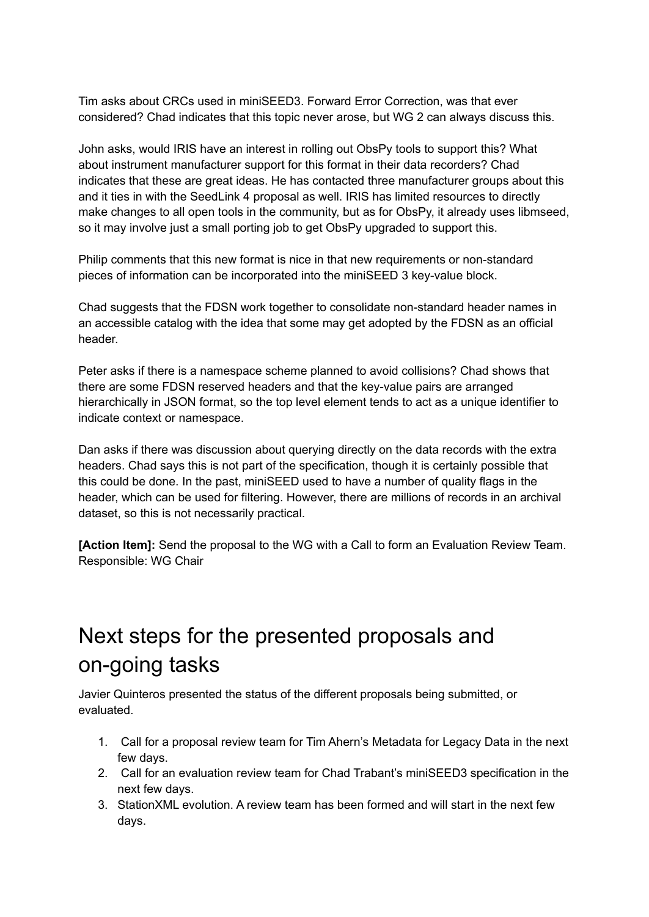Tim asks about CRCs used in miniSEED3. Forward Error Correction, was that ever considered? Chad indicates that this topic never arose, but WG 2 can always discuss this.

John asks, would IRIS have an interest in rolling out ObsPy tools to support this? What about instrument manufacturer support for this format in their data recorders? Chad indicates that these are great ideas. He has contacted three manufacturer groups about this and it ties in with the SeedLink 4 proposal as well. IRIS has limited resources to directly make changes to all open tools in the community, but as for ObsPy, it already uses libmseed, so it may involve just a small porting job to get ObsPy upgraded to support this.

Philip comments that this new format is nice in that new requirements or non-standard pieces of information can be incorporated into the miniSEED 3 key-value block.

Chad suggests that the FDSN work together to consolidate non-standard header names in an accessible catalog with the idea that some may get adopted by the FDSN as an official header.

Peter asks if there is a namespace scheme planned to avoid collisions? Chad shows that there are some FDSN reserved headers and that the key-value pairs are arranged hierarchically in JSON format, so the top level element tends to act as a unique identifier to indicate context or namespace.

Dan asks if there was discussion about querying directly on the data records with the extra headers. Chad says this is not part of the specification, though it is certainly possible that this could be done. In the past, miniSEED used to have a number of quality flags in the header, which can be used for filtering. However, there are millions of records in an archival dataset, so this is not necessarily practical.

**[Action Item]:** Send the proposal to the WG with a Call to form an Evaluation Review Team. Responsible: WG Chair

#### Next steps for the presented proposals and on-going tasks

Javier Quinteros presented the status of the different proposals being submitted, or evaluated.

- 1. Call for a proposal review team for Tim Ahern's Metadata for Legacy Data in the next few days.
- 2. Call for an evaluation review team for Chad Trabant's miniSEED3 specification in the next few days.
- 3. StationXML evolution. A review team has been formed and will start in the next few days.